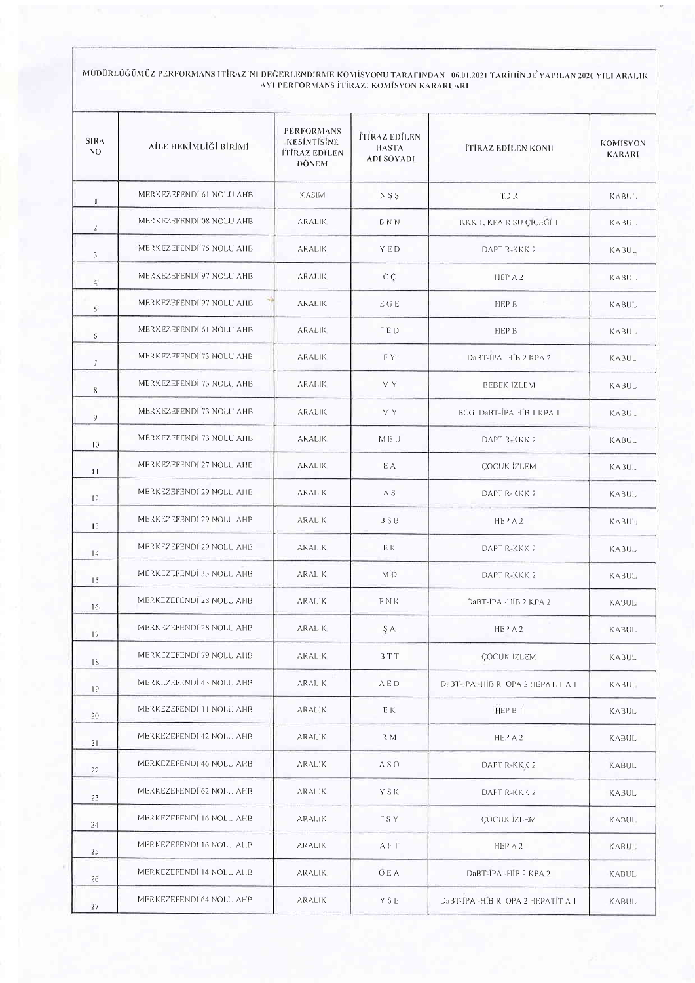MÜDÜRLÜĞÜMÜZ PERFORMANS İTİRAZINI DEĞERLENDİRME KOMİSYONU TARAFINDAN - 06.01.2021 TARİHİNDE YAPILAN 2020 YILI ARALIK<br>AYI PERFORMANS İTİRAZI KOMİSYON KARARLARI

| <b>SIRA</b><br>N <sub>O</sub> | AİLE HEKİMLİĞİ BİRİMİ    | <b>PERFORMANS</b><br><b>KESİNTİSİNE</b><br><b>ITIRAZ EDILEN</b><br>DÖNEM | <b>İTİRAZ EDİLEN</b><br><b>HASTA</b><br><b>ADI SOYADI</b> | <b>ITIRAZ EDILEN KONU</b>        | KOMISYON<br><b>KARARI</b> |
|-------------------------------|--------------------------|--------------------------------------------------------------------------|-----------------------------------------------------------|----------------------------------|---------------------------|
| T.                            | MERKEZEFENDI 61 NOLU AHB | KASIM                                                                    | NSS                                                       | TD R                             | <b>KABUL</b>              |
| $\overline{2}$                | MERKEZEFENDI 08 NOLU AHB | <b>ARALIK</b>                                                            | BNN                                                       | KKK 1, KPA R SU CICEGI 1         | <b>KABUL</b>              |
| 3                             | MERKEZEFENDI 75 NOLU AHB | <b>ARALIK</b>                                                            | <b>YED</b>                                                | DAPT R-KKK 2                     | <b>KABUL</b>              |
| $\overline{4}$                | MERKEZEFENDI 97 NOLU AHB | <b>ARALIK</b>                                                            | $C \subset \mathbb{C}$                                    | HEP A 2                          | KABUL                     |
| 5                             | MERKEZEFENDI 97 NOLU AHB | <b>ARALIK</b>                                                            | EGE                                                       | <b>HEP B I</b>                   | <b>KABUL</b>              |
| 6                             | MERKEZEFENDI 61 NOLU AHB | <b>ARALIK</b>                                                            | FED                                                       | HEP B I                          | KABUL                     |
| $7\phantom{.0}$               | MERKEZEFENDI 73 NOLU AHB | <b>ARALIK</b>                                                            | FΥ                                                        | DaBT-IPA -HIB 2 KPA 2            | <b>KABUL</b>              |
| 8                             | MERKEZEFENDİ 73 NOLU AHB | ARALIK                                                                   | M Y                                                       | <b>BEBEK IZLEM</b>               | <b>KABUL</b>              |
| 9                             | MERKEZEFENDI 73 NOLU AHB | <b>ARALIK</b>                                                            | M Y                                                       | BCG DaBT-IPA HIB   KPA           | KABUL.                    |
| 10                            | MERKEZEFENDI 73 NOLU AHB | ARALIK                                                                   | MEU                                                       | DAPT R-KKK 2                     | <b>KABUL</b>              |
| $\overline{11}$               | MERKEZEFENDI 27 NOLU AHB | <b>ARALIK</b>                                                            | E A                                                       | <b>ÇOCUK İZLEM</b>               | <b>KABUL</b>              |
| $\sqrt{2}$                    | MERKEZEFENDI 29 NOLU AHB | ARALIK                                                                   | A S                                                       | DAPT R-KKK 2                     | <b>KABUL</b>              |
| 13                            | MERKEZEFENDI 29 NOLU AHB | <b>ARALIK</b>                                                            | <b>BSB</b>                                                | HEP A 2                          | KABUL                     |
| 4                             | MERKEZEFENDI 29 NOLU AHB | <b>ARALIK</b>                                                            | ЕK                                                        | DAPT R-KKK 2                     | KABUL                     |
| 15                            | MERKEZEFENDI 33 NOLU AHB | <b>ARALIK</b>                                                            | M <sub>D</sub>                                            | DAPT R-KKK 2                     | KABUL                     |
| 16                            | MERKEZEFENDI 28 NOLU AHB | <b>ARALIK</b>                                                            | ENK                                                       | DaBT-IPA -HIB 2 KPA 2            | <b>KABUL</b>              |
| 17                            | MERKEZEFENDI 28 NOLU AHB | ARALIK                                                                   | ŞA.                                                       | HEP A 2                          | <b>KABUL</b>              |
| 18                            | MERKEZEFENDI 79 NOLU AHB | ARALIK                                                                   | BTT                                                       | <b>ÇOCUK IZLEM</b>               | KABUL                     |
| 19                            | MERKEZEFENDİ 43 NOLU AHB | ARALIK                                                                   | A E D                                                     | DaBT-IPA-HIB R OPA 2 HEPATIT A 1 | KABUL.                    |
| 20                            | MERKEZEFENDI 11 NOLU AHB | aralik                                                                   | E K                                                       | HEP B I                          | <b>KABUL</b>              |
| 21                            | MERKEZEFENDI 42 NOLU AHB | ARALIK                                                                   | R M                                                       | HEP A 2                          | <b>KABUL</b>              |
| 22                            | MERKEZEFENDI 46 NOLU AHB | ARALIK                                                                   | A S O                                                     | DAPT R-KKK 2                     | <b>KABUL</b>              |
| 23                            | MERKEZEFENDI 62 NOLU AHB | ARALIK                                                                   | YSK                                                       | DAPT R-KKK 2                     | <b>KABUL</b>              |
| 24                            | MERKEZEFENDI 16 NOLU AHB | <b>ARALIK</b>                                                            | FSY.                                                      | <b>COCUK IZLEM</b>               | <b>KABUL</b>              |
| 25                            | MERKEZEFENDI 16 NOLU AHB | <b>ARALIK</b>                                                            | AFT                                                       | HEPA2                            | KABUL                     |
| 26                            | MERKEZEFENDI 14 NOLU AHB | <b>ARALIK</b>                                                            | O E A                                                     | DaBT-IPA - HIB 2 KPA 2           | <b>KABUL</b>              |
| 27                            | MERKEZEFENDI 64 NOLU AHB | ARALIK                                                                   | <b>YSE</b>                                                | DaBT-IPA-HIB R OPA 2 HEPATIT A 1 | KABUL                     |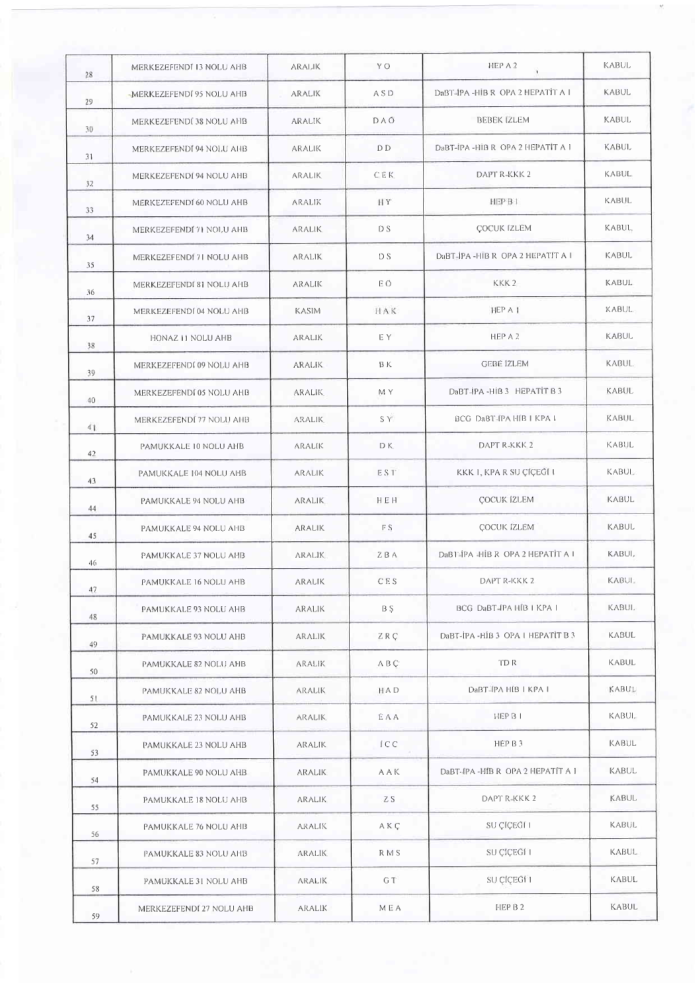| 28 | MERKEZEFENDI 13 NOLU AHB | <b>ARALIK</b> | Y O              | HEP A 2                            | <b>KABUL</b>       |
|----|--------------------------|---------------|------------------|------------------------------------|--------------------|
| 29 | MERKEZEFENDI 95 NOLU AHB | <b>ARALIK</b> | <b>ASD</b>       | DaBT-IPA -HIB R OPA 2 HEPATIT A I  | <b>KABUL</b>       |
| 30 | MERKEZEFENDI 38 NOLU AHB | ARALIK        | DAO              | <b>BEBEK IZLEM</b>                 | KABUL              |
| 31 | MERKEZEFENDI 94 NOLU AHB | ARALIK        | D <sub>D</sub>   | DaBT-IPA - HIB R OPA 2 HEPATIT A 1 | <b>KABUL</b>       |
| 32 | MERKEZEFENDI 94 NOLU AHB | <b>ARALIK</b> | <b>CEK</b>       | DAPT R-KKK 2                       | KABUL              |
| 33 | MERKEZEFENDI 60 NOLU AHB | <b>ARALIK</b> | HY               | HEP B 1                            | KABUL              |
| 34 | MERKEZEFENDÍ 71 NOLU AHB | <b>ARALIK</b> | D S              | ÇOCUK İZLEM                        | KABUL <sub>+</sub> |
| 35 | MERKEZEFENDI 71 NOLU AHB | ARALIK        | DS               | DaBT-IPA -HIB R OPA 2 HEPATIT A I  | KABUL              |
| 36 | MERKEZEFENDI 81 NOLU AHB | ARALIK        | ЕÖ               | KKK <sub>2</sub>                   | <b>KABUL</b>       |
| 37 | MERKEZEFENDI 04 NOLU AHB | <b>KASIM</b>  | HAK              | HEP A 1                            | <b>KABUL</b>       |
| 38 | HONAZ 11 NOLU AHB        | <b>ARALIK</b> | EY.              | HEP A 2                            | <b>KABUL</b>       |
| 39 | MERKEZEFENDI 09 NOLU AHB | <b>ARALIK</b> | B K              | <b>GEBE IZLEM</b>                  | <b>KABUL</b>       |
| 40 | MERKEZEFENDI 05 NOLU AHB | <b>ARALIK</b> | M Y              | DaBT-IPA-HIB3 HEPATIT B3           | KABUL              |
| 41 | MERKEZEFENDÎ 77 NOLU AHB | <b>ARALIK</b> | S Y              | BCG DaBT-IPA HIB   KPA             | <b>KABUL</b>       |
| 42 | PAMUKKALE 10 NOLU AHB    | <b>ARALIK</b> | D K              | DAPT R-KKK 2                       | <b>KABUL</b>       |
| 43 | PAMUKKALE 104 NOLU AHB   | <b>ARALIK</b> | EST <sup>*</sup> | KKK I, KPA R SU ÇİÇEĞİ I           | <b>KABUL</b>       |
| 44 | PAMUKKALE 94 NOLU AHB    | <b>ARALIK</b> | HEH              | <b>ÇOCUK IZLEM</b>                 | KABUL              |
| 45 | PAMUKKALE 94 NOLU AHB    | <b>ARALIK</b> | FS.              | <b>ÇOCUK İZLEM</b>                 | <b>KABUL</b>       |
| 46 | PAMUKKALE 37 NOLU AHB    | <b>ARALIK</b> | ZBA              | DaBT-IPA -HIB R OPA 2 HEPATIT A I  | KABUL.             |
| 47 | PAMUKKALE 16 NOLU AHB    | aralik        | CES.             | DAPT R-KKK 2                       | <b>KABUL</b>       |
| 48 | PAMUKKALE 93 NOLU AHB    | <b>ARALIK</b> | B Ş              | BCG DaBT-IPA HIB I KPA I<br>w      | KABUL.             |
| 49 | PAMUKKALE 93 NOLU AHB    | <b>ARALIK</b> | ZRC              | DaBT-IPA -HIB 3 OPA I FEPATIT B 3  | <b>KABUL</b>       |
| 50 | PAMUKKALE 82 NOLU AHB    | <b>ARALIK</b> | A B Ç            | TD R                               | KABUL              |
| 51 | PAMUKKALE 82 NOLU AHB    | <b>ARALIK</b> | HAD              | DaBT-IPA HIB   KPA                 | KABUL              |
| 52 | PAMUKKALE 23 NOLU AHB    | <b>ARALIK</b> | EAA              | HEP B I                            | KABUL.             |
| 53 | PAMUKKALE 23 NOLU AHB    | aralik        | ICC              | HEP B 3                            | <b>KABUL</b>       |
| 54 | PAMUKKALE 90 NOLU AHB    | <b>ARALIK</b> | AAK              | DaBT-IPA-HIB R OPA 2 HEPATIT A 1   | <b>KABUL</b>       |
| 55 | PAMUKKALE 18 NOLU AHB    | <b>ARALIK</b> | ZS.              | DAPT R-KKK 2                       | <b>KABUL</b>       |
| 56 | PAMUKKALE 76 NOLU AHB    | <b>ARALIK</b> | A K Ç            | SU ÇÎÇEGÎ L                        | KABUL.             |
| 57 | PAMUKKALE 83 NOLU AHB    | <b>ARALIK</b> | R M S            | SU ÇİÇEGI 1                        | KABUL.             |
|    | PAMUKKALE 31 NOLU AHB    | <b>ARALIK</b> | G T              | SU ÇİÇEĞİ 1                        | KABUL              |
| 58 | MERKEZEFENDI 27 NOLU AHB | ARALIK        | MEA              | HEP B 2                            | KABUL              |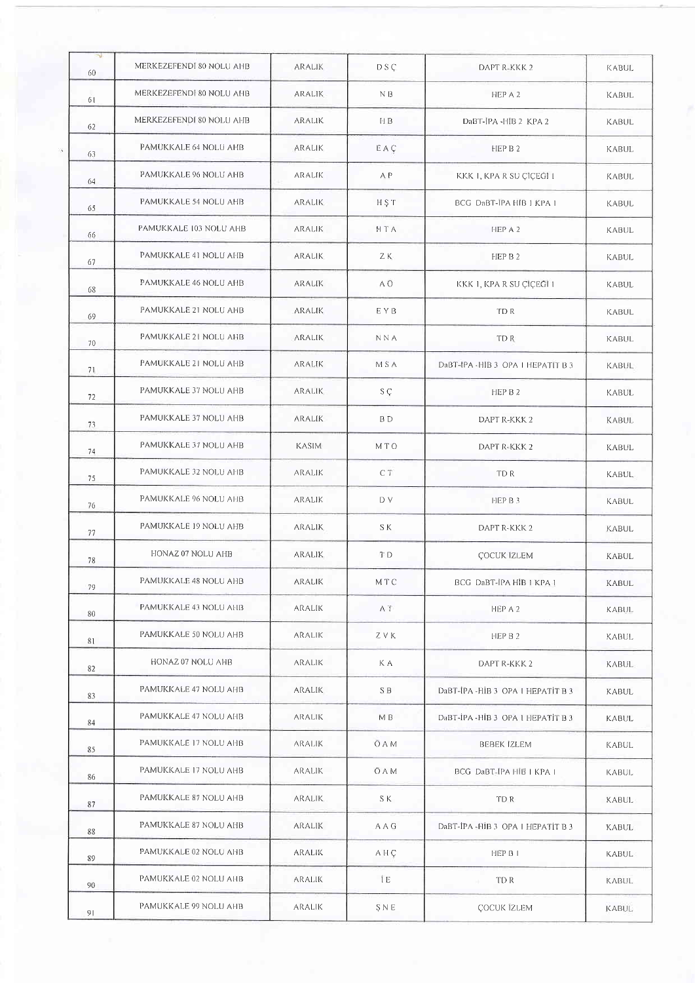| N.<br>60 | MERKEZEFENDI 80 NOLU AHB | <b>ARALIK</b> | D S C          | DAPT R-KKK 2                       | <b>KABUL</b> |
|----------|--------------------------|---------------|----------------|------------------------------------|--------------|
| 61       | MERKEZEFENDI 80 NOLU AHB | ARALIK        | N B            | HEP A 2                            | <b>KABUL</b> |
| 62       | MERKEZEFENDI 80 NOLU AHB | ARALIK        | H <sub>B</sub> | DaBT-JPA -HIB 2 KPA 2              | KABUL        |
| 63       | PAMUKKALE 64 NOLU AHB    | ARALIK        | EAÇ            | HEP B 2                            | KABUL        |
| 64       | PAMUKKALE 96 NOLU AHB    | ARALIK        | A P            | KKK I, KPA R SU ÇÎÇEĞÎ I           | KABUL        |
| 65       | PAMUKKALE 54 NOLU AHB    | <b>ARALIK</b> | HST            | BCG DaBT-IPA HIB 1 KPA 1           | KABUL        |
| 66       | PAMUKKALE 103 NOLU AHB   | ARALIK        | HTA            | HEP A 2                            | KABUL        |
| 67       | PAMUKKALE 41 NOLU AHB    | <b>ARALIK</b> | ZK.            | HEP B 2                            | KABUL        |
| 68       | PAMUKKALE 46 NOLU AHB    | ARALIK        | A Ö            | KKK 1, KPA R SU ÇÎÇEĞÎ 1           | <b>KABUL</b> |
| 69       | PAMUKKALE 21 NOLU AHB    | ARALIK        | EYB            | TD R                               | <b>KABUL</b> |
| 70       | PAMUKKALE 21 NOLU AHB    | <b>ARALIK</b> | <b>NNA</b>     | TD R                               | <b>KABUL</b> |
| 71       | PAMUKKALE 21 NOLU AHB    | ARALIK        | M S A          | DaBT-IPA - HIB 3 OPA I HEPATIT B 3 | <b>KABUL</b> |
| 72       | PAMUKKALE 37 NOLU AHB    | <b>ARALIK</b> | SÇ.            | HEP B 2                            | KABUL        |
| 73       | PAMUKKALE 37 NOLU AHB    | ARALIK        | B D            | DAPT R-KKK 2                       | KABUL        |
| 74       | PAMUKKALE 37 NOLU AHB    | <b>KASIM</b>  | MTO            | DAPT R-KKK 2                       | KABUL        |
| 75       | PAMUKKALE 32 NOLU AHB    | <b>ARALIK</b> | CT             | TD R                               | <b>KABUL</b> |
| 76       | PAMUKKALE 96 NOLU AHB    | aralik        | D V            | HEP B 3                            | <b>KABUL</b> |
| 77       | PAMUKKALE 19 NOLU AHB    | <b>ARALIK</b> | S K            | DAPT R-KKK 2                       | <b>KABUL</b> |
| 78       | HONAZ 07 NOLU AHB        | <b>ARALIK</b> | T <sub>D</sub> | ÇOCUK İZLEM                        | KABUL        |
| 79       | PAMUKKALE 48 NOLU AHB    | ARALIK        | MTC            | BCG DaBT-IPA HIB I KPA 1           | KABUL        |
| 80       | PAMUKKALE 43 NOLU AHB    | ARALIK        | AT.            | HEP A 2                            | KABUL        |
| 81       | PAMUKKALE 50 NOLU AHB    | <b>ARALIK</b> | Z V K          | HEP B 2                            | KABUL        |
| 82       | HONAZ 07 NOLU AHB        | aralik        | K A            | DAPT R-KKK 2                       | <b>KABUL</b> |
| 83       | PAMUKKALE 47 NOLU AHB    | ARALIK        | S B            | DaBT-IPA-HIB 3 OPA   HEPATIT B 3   | KABUL        |
| 84       | PAMUKKALE 47 NOLU AHB    | <b>ARALIK</b> | M B            | DaBT-IPA - HIB 3 OPA 1 HEPATIT B 3 | KABUL        |
| 85       | PAMUKKALE 17 NOLU AHB    | <b>ARALIK</b> | O A M          | BEBEK IZLEM                        | <b>KABUL</b> |
| 86       | PAMUKKALE 17 NOLU AHB    | aralik        | <b>OAM</b>     | BCG DaBT-IPA HIB   KPA             | <b>KABUL</b> |
| 87       | PAMUKKALE 87 NOLU AHB    | <b>ARALIK</b> | S K            | TD R                               | KABUL        |
| 88       | PAMUKKALE 87 NOLU AHB    | ARALIK        | A A G          | DaBT-IPA - HIB 3 OPA   HEPATIT B 3 | <b>KABUL</b> |
| 89       | PAMUKKALE 02 NOLU AHB    | ARALIK        | AHÇ            | HEP B I                            | <b>KABUL</b> |
| 90       | PAMUKKALE 02 NOLU AHB    | ARALIK.       | ÎΕ             | TD R                               | KABUL        |
| 91       | PAMUKKALE 99 NOLU AHB    | ARALIK        | SNE            | ÇOCUK İZLEM                        | <b>KABUL</b> |
|          |                          |               |                |                                    |              |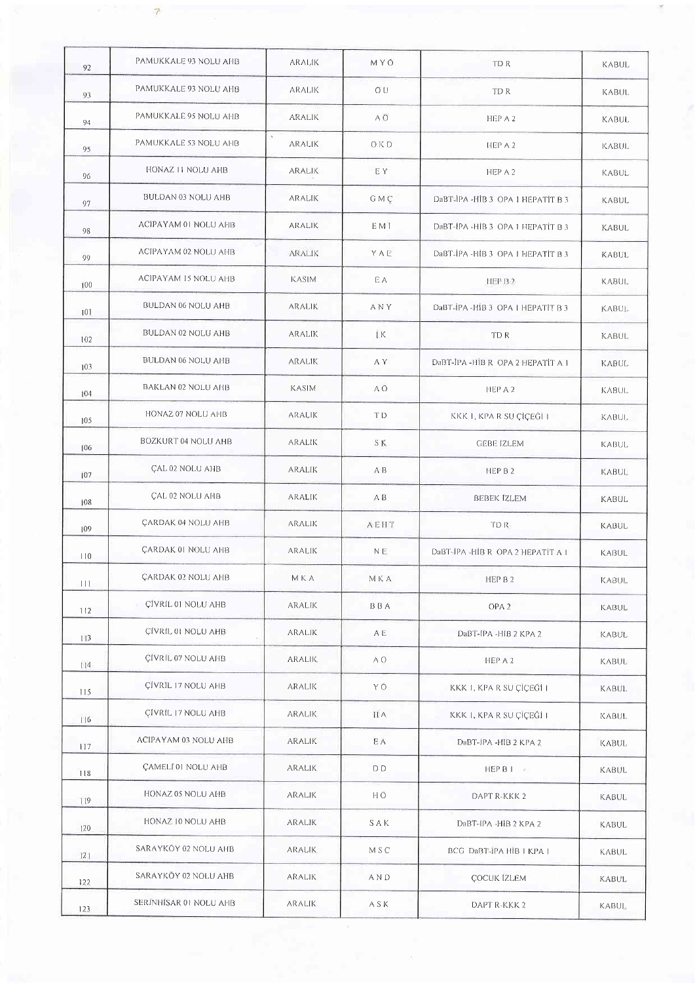| 92  | PAMUKKALE 93 NOLU AHB     | <b>ARALIK</b> | <b>MYO</b> | TD R                               | <b>KABUL</b> |
|-----|---------------------------|---------------|------------|------------------------------------|--------------|
| 93  | PAMUKKALE 93 NOLU AHB     | ARALIK        | ŐU         | TD R                               | KABUL        |
| 94  | PAMUKKALE 95 NOLU AHB     | ARALIK        | A O        | HEP A 2                            | <b>KABUL</b> |
| 95  | PAMUKKALE 53 NOLU AHB     | ARALIK        | OKD        | HEP A 2                            | <b>KABUL</b> |
| 96  | HONAZ 11 NOLU AHB         | <b>ARALIK</b> | E Y        | HEP A 2                            | KABUL        |
| 97  | BULDAN 03 NOLU AHB        | ARALIK        | G M Ç      | DaBT-IPA -HIB 3 OPA 1 HEPATIT B 3  | KABUL        |
| 98  | ACIPAYAM 01 NOLU AHB      | ARALIK        | E M İ      | DaBT-IPA-HIB 3 OPA 1 HEPATIT B 3   | <b>KABUL</b> |
| 99  | ACIPAYAM 02 NOLU AHB      | ARALIK        | YAE        | DaBT-IPA -HIB 3 OPA I HEPATIT B 3  | KABUL        |
| 100 | ACIPAYAM IS NOLU AHB      | KASIM         | ΕA         | HEP B <sub>2</sub>                 | <b>KABUL</b> |
| 101 | BULDAN 06 NOLU AHB        | <b>ARALIK</b> | <b>ANY</b> | DaBT-IPA - HIB 3 OPA I HEPATIT B 3 | <b>KABUL</b> |
| 102 | BULDAN 02 NOLU AHB        | ARALIK        | İK.        | TD R                               | <b>KABUL</b> |
| 103 | BULDAN 06 NOLU AHB        | <b>ARALIK</b> | A Y        | DaBT-IPA - HIB R OPA 2 HEPATIT A 1 | KABUL        |
| 104 | BAKLAN 02 NOLU AHB        | <b>KASIM</b>  | ΑŌ         | HEP A 2                            | KABUL        |
| 105 | HONAZ 07 NOLU AHB         | <b>ARALIK</b> | T D        | KKK I, KPA R SU ÇİÇEĞİ I           | KABUL.       |
| 106 | BOZKURT 04 NOLU AHB       | <b>ARALIK</b> | S K        | <b>GEBE IZLEM</b>                  | KABUL        |
| 107 | <b>CAL 02 NOLU AHB</b>    | ARALIK        | A B        | HEP B 2                            | <b>KABUL</b> |
| 108 | ÇAL 02 NOLU AHB           | ARALIK        | A B        | <b>BEBEK İZLEM</b>                 | KABUL        |
| 109 | <b>ÇARDAK 04 NOLU AHB</b> | <b>ARALIK</b> | AEHT       | TD R                               | <b>KABUL</b> |
| 10  | ÇARDAK 01 NOLU AHB        | <b>ARALIK</b> | NE.        | DaBT-IPA-HIB R OPA 2 HEPATIT A I   | KABUL        |
| 111 | <b>ÇARDAK 02 NOLU AHB</b> | M K A         | МКА        | HEP B 2                            | <b>KABUL</b> |
| 112 | ÇĪVRĪL 01 NOLU AHB        | aralik        | BBA        | OPA <sub>2</sub>                   | KABUL        |
| 113 | CIVRIL 01 NOLU AHB        | <b>ARALIK</b> | AΕ         | DaBT-IPA -HIB 2 KPA 2              | <b>KABUL</b> |
| 114 | ÇİVRİL 07 NOLU AHB        | <b>ARALIK</b> | A O        | HEP A 2                            | KABUL        |
| 115 | ÇİVRİL 17 NOLU AHB        | ARALIK        | ΥÖ         | KKK I, KPA R SU ÇİÇEĞİ I           | KABUL        |
| 116 | ÇİVRİL 17 NOLU AHB        | <b>ARALIK</b> | II A       | KKK I, KPA R SU ÇİÇEĞİ I           | KABUL        |
| 117 | ACIPAYAM 03 NOLU AHB      | ARALIK        | E A        | DaBT-JPA -HIB 2 KPA 2              | <b>KABUL</b> |
| 118 | ÇAMELÎ 01 NOLU AHB        | ARALIK        | D D        | HEPB1                              | KABUL        |
| 119 | HONAZ 05 NOLU AHB         | <b>ARALIK</b> | HÖ.        | DAPT R-KKK 2                       | KABUL        |
| 120 | HONAZ 10 NOLU AHB         | ARALIK        | SAK        | DaBT-IPA -HIB 2 KPA 2              | KABUL        |
| 121 | SARAYKÖY 02 NOLU AHB      | <b>ARALIK</b> | M S C      | BCG DaBT-IPA HIB   KPA             | <b>KABUL</b> |
| 122 | SARAYKÖY 02 NOLU AHB      | <b>ARALIK</b> | A N D      | <b>ÇOCUK IZLEM</b>                 | KABUL        |
| 123 | SERINHISAR 01 NOLU AHB    | aralik        | ASK        | DAPT R-KKK 2                       | KABUL.       |

 $\bar{\bar{z}}$ 

 $\overline{7}$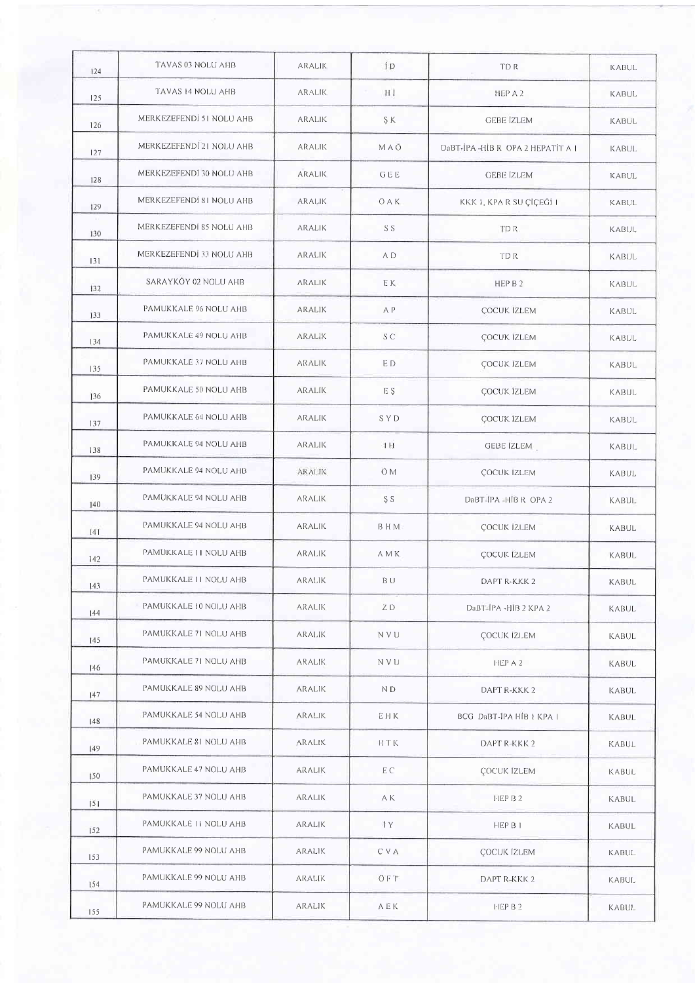| 124 | TAVAS 03 NOLU AHB        | <b>ARALIK</b> | 1D         | <b>TDR</b>                       | KABUL        |
|-----|--------------------------|---------------|------------|----------------------------------|--------------|
| 125 | TAVAS 14 NOLU AHB        | <b>ARALIK</b> | НI         | HEP A 2                          | <b>KABUL</b> |
| 126 | MERKEZEFENDI 51 NOLU AHB | <b>ARALIK</b> | ŞΚ.        | <b>GEBE IZLEM</b>                | KABUL        |
| 127 | MERKEZEFENDI 21 NOLU AHB | <b>ARALIK</b> | MAO        | DaBT-IPA-HIB R OPA 2 HEPATIT A 1 | <b>KABUL</b> |
| 128 | MERKEZEFENDI 30 NOLU AHB | <b>ARALIK</b> | GEE        | <b>GEBE IZLEM</b>                | <b>KABUL</b> |
| 129 | MERKEZEFENDI 81 NOLU AHB | <b>ARALIK</b> | <b>OAK</b> | KKK I, KPA R SU ÇİÇEĞİ I         | KABUL        |
| 130 | MERKEZEFENDI 85 NOLU AHB | ARALIK        | S S        | TDR.                             | <b>KABUL</b> |
| 131 | MERKEZEFENDI 33 NOLU AHB | ARALIK        | A D        | <b>TDR</b>                       | KABUL        |
| 132 | SARAYKÖY 02 NOLU AHB     | <b>ARALIK</b> | E K        | HEP B 2                          | <b>KABUL</b> |
| 133 | PAMUKKALE 96 NOLU AHB    | ARALIK        | A P        | <b>ÇOCUK IZLEM</b>               | KABUL        |
| 134 | PAMUKKALE 49 NOLU AHB    | ARALIK        | S C        | ÇOCUK IZLEM                      | <b>KABUL</b> |
| 135 | PAMUKKALE 37 NOLU AHB    | <b>ARALIK</b> | E D        | ÇOCUK IZLEM                      | KABUL        |
| 136 | PAMUKKALE 50 NOLU AHB    | ARALIK        | E Ş        | ÇOCUK İZLEM                      | KABUL        |
| 137 | PAMUKKALE 64 NOLU AHB    | ARALIK        | S Y D      | ÇOCUK İZLEM                      | <b>KABUL</b> |
| 138 | PAMUKKALE 94 NOLU AHB    | ARALIK        | 4H         | GEBE IZLEM                       | <b>KABUL</b> |
| 139 | PAMUKKALE 94 NOLU AHB    | <b>ARALIK</b> | Ö M        | ÇOCUK IZLEM                      | KABUL        |
| 140 | PAMUKKALE 94 NOLU AHB    | <b>ARALIK</b> | S S        | DaBT-IPA-HIB R OPA 2             | <b>KABUL</b> |
| [4] | PAMUKKALE 94 NOLU AHB    | ARALIK        | B H M      | ÇOCUK İZLEM                      | KABUL        |
| 142 | PAMUKKALE 11 NOLU AHB    | <b>ARALIK</b> | A M K      | ÇOCUK İZLEM                      | <b>KABUL</b> |
| 143 | PAMUKKALE II NOLU AHB    | aralik        | BU         | DAPT R-KKK 2                     | KABUL        |
| 144 | PAMUKKALE 10 NOLU AHB    | <b>ARALIK</b> | ZD         | DaBT-IPA -HIB 2 KPA 2            | <b>KABUL</b> |
| 145 | PAMUKKALE 71 NOLU AHB    | <b>ARALIK</b> | <b>NVU</b> | <b>ÇOCUK IZLEM</b>               | KABUL        |
| 146 | PAMUKKALE 71 NOLU AHB    | <b>ARALIK</b> | N V U      | HEP A 2                          | KABUL        |
| 147 | PAMUKKALE 89 NOLU AHB    | ARALIK        | ND.        | DAPT R-KKK 2                     | <b>KABUL</b> |
| 148 | PAMUKKALE 54 NOLU AHB    | <b>ARALIK</b> | EHK        | BCG DaBT-IPA HIB   KPA I         | KABUL        |
| 149 | PAMUKKALE 81 NOLU AHB    | aralık.       | <b>HTK</b> | DAPT R-KKK 2                     | KABUL        |
| 150 | PAMUKKALE 47 NOLU AHB    | <b>ARALIK</b> | EC         | <b>COCUK IZLEM</b>               | KABUL        |
| 151 | PAMUKKALE 37 NOLU AHB    | <b>ARALIK</b> | A K        | HEP B 2                          | KABUL        |
| 152 | PAMUKKALE II NOLU AHB    | ARALIK        | ĪΥ         | HEP B 1                          | KABUL        |
| 153 | PAMUKKALE 99 NOLU AHB    | ARALIK        | C V A      | ÇOCUK IZLEM                      | KABUL        |
| 154 | PAMUKKALE 99 NOLU AHB    | <b>ARALIK</b> | ÖFT.       | DAPT R-KKK 2                     | KABUL        |
| 155 | PAMUKKALE 99 NOLU AHB    | aralik        | AEK        | HEP B 2                          | KABUL        |
|     |                          |               |            |                                  |              |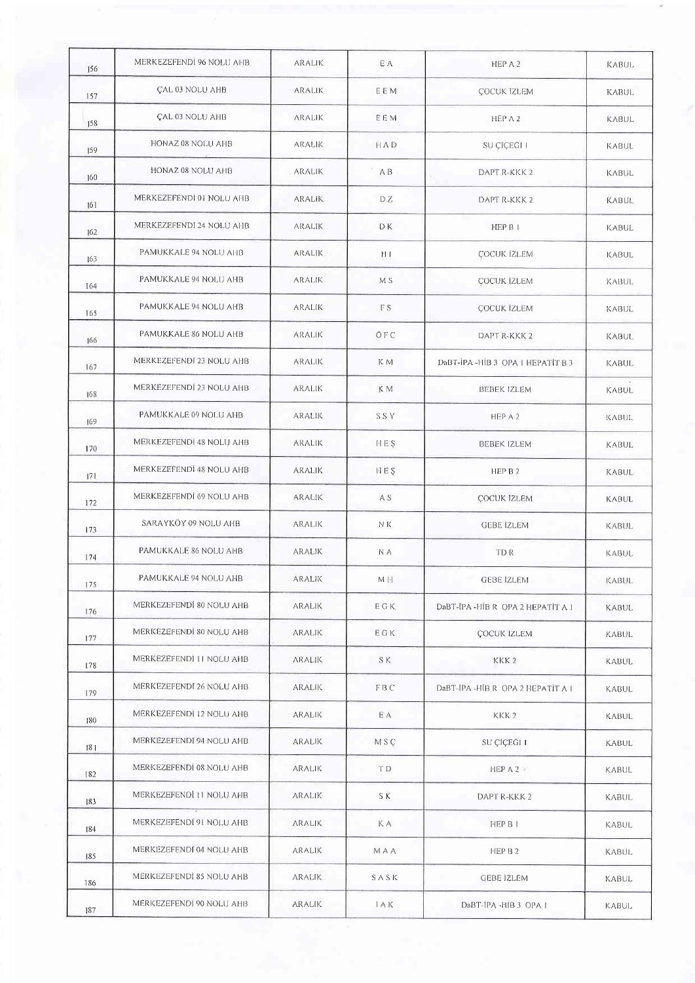| 156 | MERKEZEFENDİ 96 NOLU AHB | ARALIK        | E A            | HEP A 2                          | <b>KABUL</b> |
|-----|--------------------------|---------------|----------------|----------------------------------|--------------|
| 157 | CAL 03 NOLU AHB          | <b>ARALIK</b> | EEM            | <b>COCUK IZLEM</b>               | <b>KABUL</b> |
| 158 | <b>CAL 03 NOLU AHB</b>   | ARALIK        | EEM            | HEP A 2                          | <b>KABUL</b> |
| 159 | HONAZ 08 NOLU AHB        | ARALIK        | HAD            | SU ÇIÇEGI I                      | KABUL        |
| 160 | HONAZ 08 NOLU AHB        | <b>ARALIK</b> | A B            | DAPT R-KKK 2                     | KABUL        |
| 161 | MERKEZEFENDI 01 NOLU AHB | ARALIK        | DZ.            | DAPT R-KKK 2                     | <b>KABUL</b> |
| 162 | MERKEZEFENDI 24 NOLU AHB | <b>ARALIK</b> | D K            | HEP B I                          | KABUL        |
| 163 | PAMUKKALE 94 NOLU AHB    | <b>ARALIK</b> | ПI             | ÇOCUK İZLEM                      | KABUL        |
| 164 | PAMUKKALE 94 NOLU AHB    | ARALIK        | M <sub>S</sub> | <b>ÇOCUK İZLEM</b>               | KABUL        |
| 165 | PAMUKKALE 94 NOLU AHB    | ARALIK        | F S            | <b>ÇOCUK IZLEM</b>               | KABUL        |
| 166 | PAMUKKALE 86 NOLU AHB    | <b>ARALIK</b> | ŌFC            | DAPT R-KKK 2                     | <b>KABUL</b> |
| 167 | MERKEZEFENDI 23 NOLU AHB | ARALIK        | K M            | DaBT-IPA-HIB 3 OPA L HEPATIT B 3 | KABUL        |
| 168 | MERKEZEFENDİ 23 NOLU AHB | <b>ARALIK</b> | K M            | <b>BEBEK IZLEM</b>               | <b>KABUL</b> |
| 169 | PAMUKKALE 09 NOLU AHB    | ARALIK        | SSY.           | HEP A 2                          | KABUL        |
| 170 | MERKEZEFENDI 48 NOLU AHB | ARALIK        | H E S          | <b>BEBEK IZLEM</b>               | <b>KABUL</b> |
| 171 | MERKEZEFENDI 48 NOLU AHB | <b>ARALIK</b> | <b>HES</b>     | HEP B 2                          | <b>KABUL</b> |
| 172 | MERKEZEFENDI 69 NOLU AHB | ARALIK        | A S            | <b>ÇOCUK IZLEM</b>               | <b>KABUL</b> |
| 173 | SARAYKÖY 09 NOLU AHB     | ARALIK        | NK             | <b>GEBE IZLEM</b>                | <b>KABUL</b> |
| 174 | PAMUKKALE 86 NOLU AHB    | <b>ARALIK</b> | N A            | TD R                             | <b>KABUL</b> |
| 175 | PAMUKKALE 94 NOLU AHB    | ARALIK        | МH             | GEBE IZLEM                       | <b>KABUL</b> |
| 176 | MERKEZEFENDI 80 NOLU AHB | <b>ARALIK</b> | EGK.           | DaBT-IPA-HIBR OPA 2 HEPATIT A 1  | <b>KABUL</b> |
| 177 | MERKEZEFENDI 80 NOLU AHB | <b>ARALIK</b> | EGK            | <b>ÇOCUK IZLEM</b>               | <b>KABUL</b> |
| 178 | MERKEZEFENDI II NOLU AHB | <b>ARALIK</b> | S K            | KKK <sub>2</sub>                 | KABUL        |
| 179 | MERKEZEFENDI 26 NOLU AHB | ARALIK        | FBC.           | DaBT-IPA-HIB R OPA 2 HEPATIT A I | KABUL        |
| 180 | MERKEZEFENDİ 12 NOLU AHB | <b>ARALIK</b> | E A            | KKK <sub>2</sub>                 | KABUL        |
| 181 | MERKEZEFENDI 94 NOLU AHB | <b>ARALIK</b> | M S C          | SU ÇÎÇEĞİ I                      | KABUL        |
| 182 | MERKEZEFENDI 08 NOLU AHB | aralik        | TD.            | $HEP$ A 2                        | KABUL        |
| 83  | MERKEZEFENDI 11 NOLU AHB | <b>ARALIK</b> | S K            | DAPT R-KKK 2                     | KABUL        |
| 184 | MERKEZEFENDI 91 NOLU AHB | <b>ARALIK</b> | K A            | HEP B I                          | <b>KABUL</b> |
| 185 | MERKEZEFENDI 04 NOLU AHB | ARALIK        | M A A          | HEP B 2                          | KABUL        |
| 186 | MERKEZEFENDI 85 NOLU AHB | <b>ARALIK</b> | SASK           | GEBE IZLEM                       | KABUL        |
| 187 | MERKEZEFENDI 90 NOLU AHB | aralik        | IAK.           | DaBT-IPA -HIB 3 OPA 1            | KABUL        |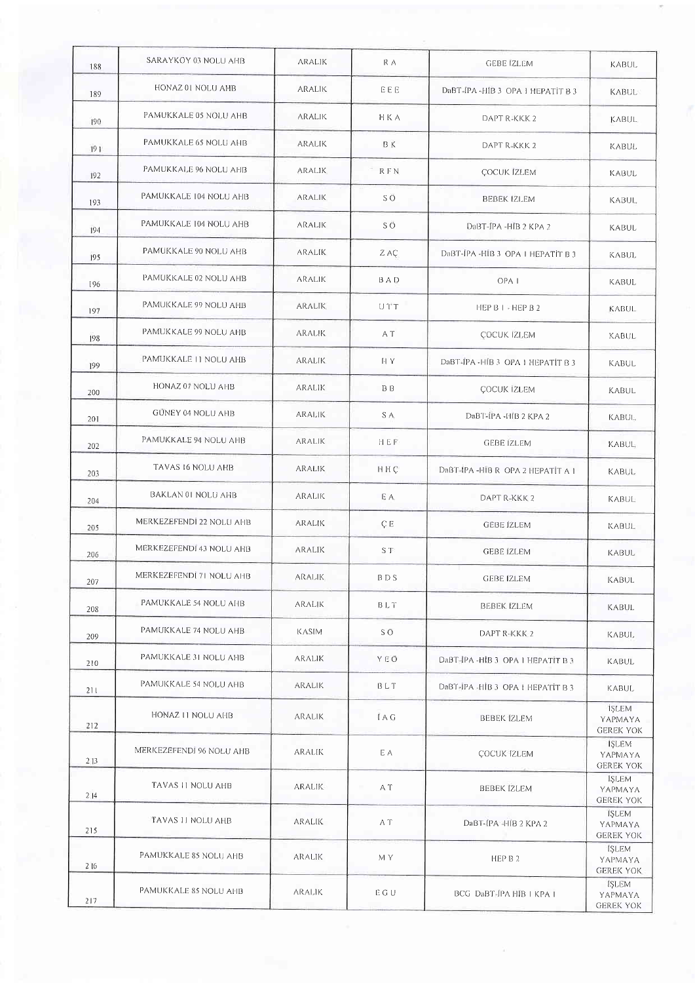| 188 | SARAYKOY 03 NOLU AHB     | ARALIK        | R A        | <b>GEBE IZLEM</b>                | <b>KABUL</b>                                |
|-----|--------------------------|---------------|------------|----------------------------------|---------------------------------------------|
| 189 | HONAZ 01 NOLU AHB        | <b>ARALIK</b> | EEE        | DaBT-IPA-HIB 3 OPA 1 HEPATIT B 3 | KABUL                                       |
| 190 | PAMUKKALE 05 NOLU AHB    | ARALIK        | HKA        | DAPT R-KKK 2                     | <b>KABUL</b>                                |
| 191 | PAMUKKALE 65 NOLU AHB    | <b>ARALIK</b> | B K        | DAPT R-KKK 2                     | KABUL                                       |
| 192 | PAMUKKALE 96 NOLU AHB    | ARALIK        | R F N      | <b>ÇOCUK IZLEM</b>               | KABUL                                       |
| 193 | PAMUKKALE 104 NOLU AHB   | ARALIK        | SÖ         | <b>BEBEK IZLEM</b>               | <b>KABUL</b>                                |
| 194 | PAMUKKALE 104 NOLU AHB   | ARALIK        | SÖ.        | DaBT-JPA-HIB 2 KPA 2             | KABUL                                       |
| 195 | PAMUKKALE 90 NOLU AHB    | <b>ARALIK</b> | Z AÇ       | DaBT-IPA-HIB 3 OPA I HEPATIT B 3 | <b>KABUL</b>                                |
| 196 | PAMUKKALE 02 NOLU AHB    | aralik        | BAD        | OPA <sub>1</sub>                 | KABUL                                       |
| 197 | PAMUKKALE 99 NOLU AHB    | <b>ARALIK</b> | $UT^*U$    | HEP B $1 -$ HEP B 2              | KABUL                                       |
| 198 | PAMUKKALE 99 NOLU AHB    | <b>ARALIK</b> | A T        | <b>ÇOCUK IZLEM</b>               | KABUL                                       |
| 199 | PAMUKKALE 11 NOLU AHB    | <b>ARALIK</b> | HY.        | DaBT-IPA-HIB 3 OPA 1 HEPATIT B 3 | KABUL                                       |
| 200 | HONAZ 07 NOLU AHB        | <b>ARALIK</b> | <b>BB</b>  | ÇOCUK İZLEM                      | KABUL                                       |
| 201 | <b>GÜNEY 04 NOLU AHB</b> | ARALIK        | S A        | DaBT-IPA -HIB 2 KPA 2            | <b>KABUL</b>                                |
| 202 | PAMUKKALE 94 NOLU AHB    | <b>ARALIK</b> | HEF        | <b>GEBE IZLEM</b>                | <b>KABUL</b>                                |
| 203 | TAVAS 16 NOLU AHB        | <b>ARALIK</b> | HHC        | DaBT-IPA-HIB R OPA 2 HEPATIT A 1 | KABUL                                       |
| 204 | BAKLAN 01 NOLU AHB       | <b>ARALIK</b> | E A        | DAPT R-KKK 2                     | <b>KABUL</b>                                |
| 205 | MERKEZEFENDI 22 NOLU AHB | <b>ARALIK</b> | ÇE         | <b>GEBE IZLEM</b>                | <b>KABUL</b>                                |
| 206 | MERKEZEFENDI 43 NOLU AHB | <b>ARALIK</b> | S T        | <b>GEBE IZLEM</b>                | KABUL                                       |
| 207 | MERKEZEFENDI 71 NOLU AHB | <b>ARALIK</b> | BDS        | GEBE IZLEM                       | KABUL                                       |
| 208 | PAMUKKALE 54 NOLU AHB    | ARALIK        | BLT        | <b>BEBEK IZLEM</b>               | KABUL                                       |
| 209 | PAMUKKALE 74 NOLU AHB    | KASIM         | S Ö        | DAPT R-KKK 2                     | KABUL.                                      |
| 210 | PAMUKKALE 31 NOLU AHB    | ARALIK        | YEŌ        | DaBT-IPA-HIB 3 OPA 1 HEPATIT B 3 | KABUL                                       |
| 211 | PAMUKKALE 54 NOLU AHB    | <b>ARALIK</b> | BLT        | DaBT-IPA-HIB 3 OPA L HEPATIT B 3 | <b>KABUL</b>                                |
| 212 | HONAZ II NOLU AHB        | <b>ARALIK</b> | <b>IAG</b> | <b>BEBEK IZLEM</b>               | <b>ISLEM</b><br>YAPMAYA<br><b>GEREK YOK</b> |
| 213 | MERKEZEFENDI 96 NOLU AHB | aralik        | ЕA         | <b>ÇOCUK İZLEM</b>               | ISLEM<br>YAPMAYA<br><b>GEREK YOK</b>        |
| 214 | TAVAS 11 NOLU AHB        | <b>ARALIK</b> | A T        | <b>BEBEK IZLEM</b>               | <b>ISLEM</b><br>YAPMAYA<br><b>GEREK YOK</b> |
| 215 | TAVAS II NOLU AHB        | ARALIK        | A T        | DaBT-IPA-HIB 2 KPA 2             | <b>ISLEM</b><br>YAPMAYA<br><b>GEREK YOK</b> |
| 216 | PAMUKKALE 85 NOLU AHB    | <b>ARALIK</b> | M Y        | HEP B 2                          | <b>ISLEM</b><br>YAPMAYA<br><b>GEREK YOK</b> |
| 217 | PAMUKKALE 85 NOLU AHB    | ARALIK        | EGU        | BCG DaBT-IPA HIB   KPA           | <b>ISLEM</b><br>YAPMAYA<br><b>GEREK YOK</b> |

 $\overline{\phantom{a}}$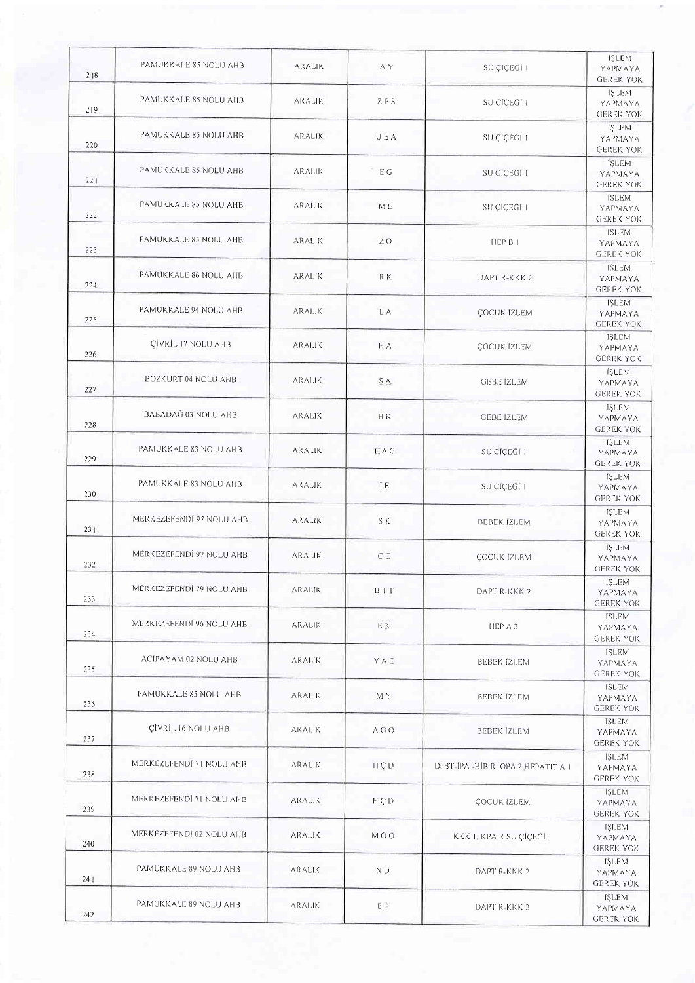| 218 | PAMUKKALE 85 NOLU AHB     | <b>ARALIK</b> | A Y             | SU ÇİÇEĞİ I                      | <b>ISLEM</b><br>YAPMAYA<br><b>GEREK YOK</b>                     |
|-----|---------------------------|---------------|-----------------|----------------------------------|-----------------------------------------------------------------|
| 219 | PAMUKKALE 85 NOLU AHB     | <b>ARALIK</b> | ZES             | SU ÇİÇEĞİ I                      | <b>ISLEM</b><br>YAPMAYA<br><b>GEREK YOK</b>                     |
| 220 | PAMUKKALE 85 NOLU AHB     | <b>ARALIK</b> | UEA             | SU ÇİÇEĞİ 1                      | <b>ISLEM</b><br>YAPMAYA<br><b>GEREK YOK</b>                     |
| 221 | PAMUKKALE 85 NOLU AHB     | ARALIK        | EG              | SU ÇÎÇEĞÎ I                      | <b>ISLEM</b><br>YAPMAYA<br><b>GEREK YOK</b>                     |
| 222 | PAMUKKALE 85 NOLU AHB     | <b>ARALIK</b> | M B             | SU CICEĞĪ I                      | <b>ISLEM</b><br>YAPMAYA<br><b>GEREK YOK</b>                     |
| 223 | PAMUKKALE 85 NOLU AHB     | ARALIK        | ΖŌ              | HEP B I                          | <b>ISLEM</b><br>YAPMAYA                                         |
| 224 | PAMUKKALE 86 NOLU AHB     | <b>ARALIK</b> | R K             | DAPT R-KKK 2                     | <b>GEREK YOK</b><br><b>ISLEM</b><br>YAPMAYA                     |
| 225 | PAMUKKALE 94 NOLU AHB     | <b>ARALIK</b> | L A             | ÇOCUK İZLEM                      | <b>GEREK YOK</b><br><b>ISLEM</b><br>YAPMAYA                     |
| 226 | ÇİVRİL 17 NOLU AHB        | ARALIK        | HA:             | <b>ÇOCUK İZLEM</b>               | <b>GEREK YOK</b><br><b>ISLEM</b><br>YAPMAYA                     |
| 227 | BOZKURT 04 NOLU AHB       | ARALIK        | S A             | <b>GEBE IZLEM</b>                | <b>GEREK YOK</b><br><b>ISLEM</b><br>YAPMAYA                     |
| 228 | BABADAĞ 03 NOLU AHB       | <b>ARALIK</b> | H K             | <b>GEBE IZLEM</b>                | <b>GEREK YOK</b><br><b>ISLEM</b><br>ΥΑΡΜΑΥΑ                     |
| 229 | PAMUKKALE 83 NOLU AHB     | <b>ARALIK</b> | <b>HAG</b>      | SU ÇÎÇEĞÎ 1                      | <b>GEREK YOK</b><br><b>ISLEM</b><br>YAPMAYA<br><b>GEREK YOK</b> |
| 230 | PAMUKKALE 83 NOLU AHB     | <b>ARALIK</b> | TE.             | SU ÇİÇEĞİ I                      | <b>ISLEM</b><br>YAPMAYA                                         |
| 231 | MERKEZEFENDI 97 NOLU AHB  | <b>ARALIK</b> | S K             | <b>BEBEK IZLEM</b>               | <b>GEREK YOK</b><br><b>ISLEM</b><br>YAPMAYA                     |
| 232 | MERKEZEFENDİ 97 NOLU AHB  | ARALIK        | $C \n\subset C$ | <b>COCUK IZLEM</b>               | <b>GEREK YOK</b><br><b>ISLEM</b><br>YAPMAYA                     |
| 233 | MERKEZEFENDI 79 NOLU AHB  | <b>ARALIK</b> | BTT             | DAPT R-KKK 2                     | <b>GEREK YOK</b><br><b>ISLEM</b><br>YAPMAYA<br><b>GEREK YOK</b> |
| 234 | MERKEZEFENDI 96 NOLU AHB  | <b>ARALIK</b> | EK              | HEP A 2                          | <b>ISLEM</b><br>YAPMAYA<br><b>GEREK YOK</b>                     |
| 235 | ACIPAYAM 02 NOLU AHB      | ARALIK        | YAE             | BEBEK IZLEM                      | <b>ISLEM</b><br>YAPMAYA                                         |
| 236 | PAMUKKALE 85 NOLU AHB     | <b>ARALIK</b> | M Y             | <b>BEBEK IZLEM</b>               | <b>GEREK YOK</b><br><b>ISLEM</b><br>YAPMAYA<br><b>GEREK YOK</b> |
| 237 | <b>CİVRİL 16 NOLU AHB</b> | <b>ARALIK</b> | A G O           | <b>BEBEK IZLEM</b>               | IŞLEM<br>ΥΑΡΜΑΥΑ<br><b>GEREK YOK</b>                            |
| 238 | MERKEZEFENDI 71 NOLU AHB  | <b>ARALIK</b> | H C D           | DaBT-IPA-HIB R OPA 2 HEPATIT A I | <b>ISLEM</b><br>YAPMAYA<br><b>GEREK YOK</b>                     |
| 239 | MERKEZEFENDİ 71 NOLU AHB  | ARALIK        | $H \subset P$   | <b>ÇOCUK İZLEM</b>               | <b>ISLEM</b><br>ΥΑΡΜΑΥΑ<br><b>GEREK YOK</b>                     |
| 240 | MERKEZEFENDİ 02 NOLU AHB  | <b>ARALIK</b> | MŐŌ             | KKK 1, KPA R SU ÇİÇEĞİ 1         | <b>ISLEM</b><br>YAPMAYA<br><b>GEREK YOK</b>                     |
| 241 | PAMUKKALE 89 NOLU AHB     | <b>ARALIK</b> | ND              | DAPT R-KKK 2                     | <b>ISLEM</b><br>YAPMAYA<br><b>GEREK YOK</b>                     |
| 242 | PAMUKKALE 89 NOLU AHB     | <b>ARALIK</b> | ΕP              | DAPT R-KKK 2                     | <b>İSLEM</b><br>YAPMAYA<br><b>GEREK YOK</b>                     |